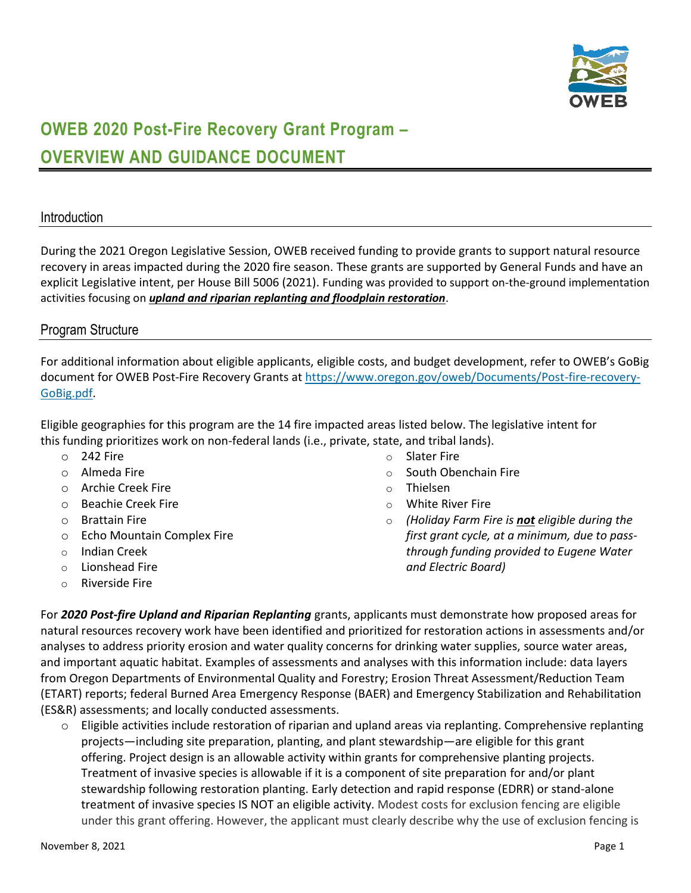

# **OWEB 2020 Post-Fire Recovery Grant Program – OVERVIEW AND GUIDANCE DOCUMENT**

#### **Introduction**

During the 2021 Oregon Legislative Session, OWEB received funding to provide grants to support natural resource recovery in areas impacted during the 2020 fire season. These grants are supported by General Funds and have an explicit Legislative intent, per House Bill 5006 (2021). Funding was provided to support on-the-ground implementation activities focusing on *upland and riparian replanting and floodplain restoration*.

#### Program Structure

For additional information about eligible applicants, eligible costs, and budget development, refer to OWEB's GoBig document for OWEB Post-Fire Recovery Grants at [https://www.oregon.gov/oweb/Documents/Post-fire-recovery-](https://www.oregon.gov/oweb/Documents/Post-fire-recovery-GoBig.pdf)[GoBig.pdf.](https://www.oregon.gov/oweb/Documents/Post-fire-recovery-GoBig.pdf)

Eligible geographies for this program are the 14 fire impacted areas listed below. The legislative intent for this funding prioritizes work on non-federal lands (i.e., private, state, and tribal lands).

- o 242 Fire
- o Almeda Fire
- o Archie Creek Fire
- o Beachie Creek Fire
- o Brattain Fire
- o Echo Mountain Complex Fire
- o Indian Creek
- o Lionshead Fire
- o Riverside Fire
- o Slater Fire
- o South Obenchain Fire
- o Thielsen
- o White River Fire
- o *(Holiday Farm Fire is not eligible during the first grant cycle, at a minimum, due to passthrough funding provided to Eugene Water and Electric Board)*

For *2020 Post-fire Upland and Riparian Replanting* grants, applicants must demonstrate how proposed areas for natural resources recovery work have been identified and prioritized for restoration actions in assessments and/or analyses to address priority erosion and water quality concerns for drinking water supplies, source water areas, and important aquatic habitat. Examples of assessments and analyses with this information include: data layers from Oregon Departments of Environmental Quality and Forestry; Erosion Threat Assessment/Reduction Team (ETART) reports; federal Burned Area Emergency Response (BAER) and Emergency Stabilization and Rehabilitation (ES&R) assessments; and locally conducted assessments.

 $\circ$  Eligible activities include restoration of riparian and upland areas via replanting. Comprehensive replanting projects—including site preparation, planting, and plant stewardship—are eligible for this grant offering. Project design is an allowable activity within grants for comprehensive planting projects. Treatment of invasive species is allowable if it is a component of site preparation for and/or plant stewardship following restoration planting. Early detection and rapid response (EDRR) or stand-alone treatment of invasive species IS NOT an eligible activity. Modest costs for exclusion fencing are eligible under this grant offering. However, the applicant must clearly describe why the use of exclusion fencing is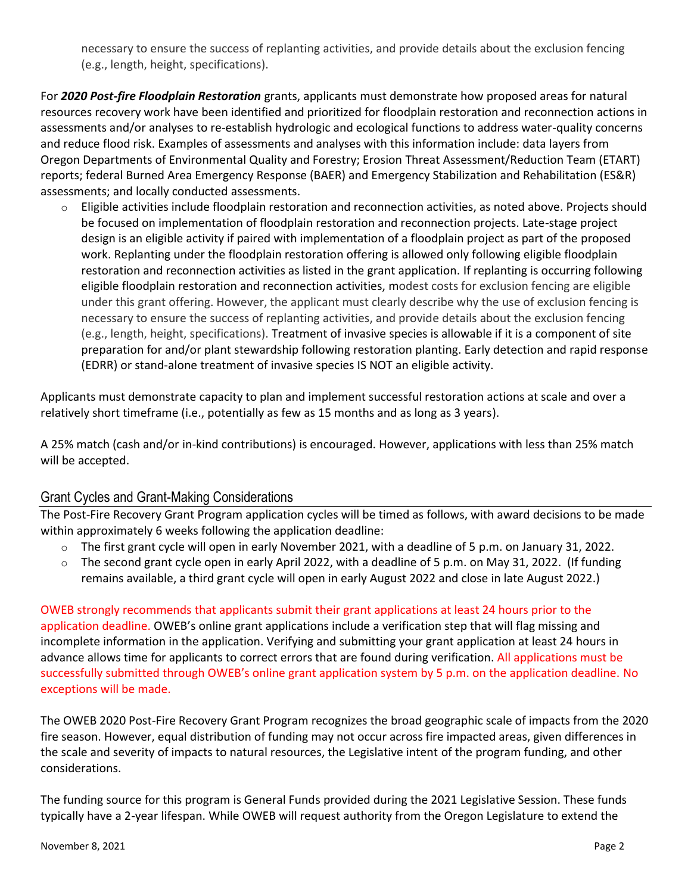necessary to ensure the success of replanting activities, and provide details about the exclusion fencing (e.g., length, height, specifications).

For *2020 Post-fire Floodplain Restoration* grants, applicants must demonstrate how proposed areas for natural resources recovery work have been identified and prioritized for floodplain restoration and reconnection actions in assessments and/or analyses to re-establish hydrologic and ecological functions to address water-quality concerns and reduce flood risk. Examples of assessments and analyses with this information include: data layers from Oregon Departments of Environmental Quality and Forestry; Erosion Threat Assessment/Reduction Team (ETART) reports; federal Burned Area Emergency Response (BAER) and Emergency Stabilization and Rehabilitation (ES&R) assessments; and locally conducted assessments.

 $\circ$  Eligible activities include floodplain restoration and reconnection activities, as noted above. Projects should be focused on implementation of floodplain restoration and reconnection projects. Late-stage project design is an eligible activity if paired with implementation of a floodplain project as part of the proposed work. Replanting under the floodplain restoration offering is allowed only following eligible floodplain restoration and reconnection activities as listed in the grant application. If replanting is occurring following eligible floodplain restoration and reconnection activities, modest costs for exclusion fencing are eligible under this grant offering. However, the applicant must clearly describe why the use of exclusion fencing is necessary to ensure the success of replanting activities, and provide details about the exclusion fencing (e.g., length, height, specifications). Treatment of invasive species is allowable if it is a component of site preparation for and/or plant stewardship following restoration planting. Early detection and rapid response (EDRR) or stand-alone treatment of invasive species IS NOT an eligible activity.

Applicants must demonstrate capacity to plan and implement successful restoration actions at scale and over a relatively short timeframe (i.e., potentially as few as 15 months and as long as 3 years).

A 25% match (cash and/or in‐kind contributions) is encouraged. However, applications with less than 25% match will be accepted.

## Grant Cycles and Grant-Making Considerations

The Post-Fire Recovery Grant Program application cycles will be timed as follows, with award decisions to be made within approximately 6 weeks following the application deadline:

- o The first grant cycle will open in early November 2021, with a deadline of 5 p.m. on January 31, 2022.
- $\circ$  The second grant cycle open in early April 2022, with a deadline of 5 p.m. on May 31, 2022. (If funding remains available, a third grant cycle will open in early August 2022 and close in late August 2022.)

OWEB strongly recommends that applicants submit their grant applications at least 24 hours prior to the application deadline. OWEB's online grant applications include a verification step that will flag missing and incomplete information in the application. Verifying and submitting your grant application at least 24 hours in advance allows time for applicants to correct errors that are found during verification. All applications must be successfully submitted through OWEB's online grant application system by 5 p.m. on the application deadline. No exceptions will be made.

The OWEB 2020 Post-Fire Recovery Grant Program recognizes the broad geographic scale of impacts from the 2020 fire season. However, equal distribution of funding may not occur across fire impacted areas, given differences in the scale and severity of impacts to natural resources, the Legislative intent of the program funding, and other considerations.

The funding source for this program is General Funds provided during the 2021 Legislative Session. These funds typically have a 2-year lifespan. While OWEB will request authority from the Oregon Legislature to extend the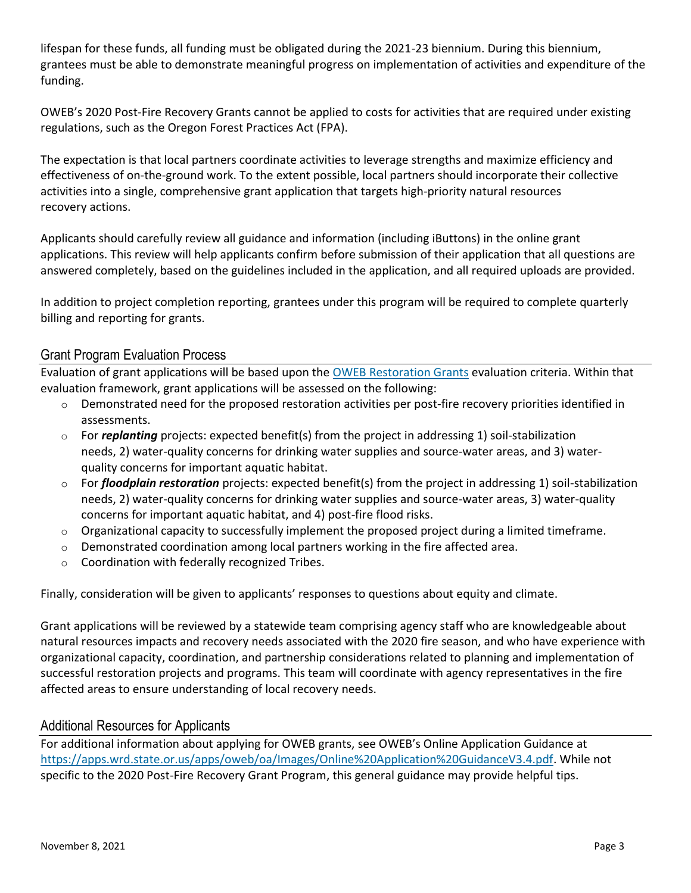lifespan for these funds, all funding must be obligated during the 2021-23 biennium. During this biennium, grantees must be able to demonstrate meaningful progress on implementation of activities and expenditure of the funding.

OWEB's 2020 Post-Fire Recovery Grants cannot be applied to costs for activities that are required under existing regulations, such as the Oregon Forest Practices Act (FPA).

The expectation is that local partners coordinate activities to leverage strengths and maximize efficiency and effectiveness of on-the-ground work. To the extent possible, local partners should incorporate their collective activities into a single, comprehensive grant application that targets high-priority natural resources recovery actions.

Applicants should carefully review all guidance and information (including iButtons) in the online grant applications. This review will help applicants confirm before submission of their application that all questions are answered completely, based on the guidelines included in the application, and all required uploads are provided.

In addition to project completion reporting, grantees under this program will be required to complete quarterly billing and reporting for grants.

## Grant Program Evaluation Process

Evaluation of grant applications will be based upon the [OWEB Restoration Grants](https://secure.sos.state.or.us/oard/viewSingleRule.action?ruleVrsnRsn=180472) evaluation criteria. Within that evaluation framework, grant applications will be assessed on the following:

- $\circ$  Demonstrated need for the proposed restoration activities per post-fire recovery priorities identified in assessments.
- o For *replanting* projects: expected benefit(s) from the project in addressing 1) soil-stabilization needs, 2) water-quality concerns for drinking water supplies and source-water areas, and 3) waterquality concerns for important aquatic habitat.
- o For *floodplain restoration* projects: expected benefit(s) from the project in addressing 1) soil-stabilization needs, 2) water-quality concerns for drinking water supplies and source-water areas, 3) water-quality concerns for important aquatic habitat, and 4) post-fire flood risks.
- $\circ$  Organizational capacity to successfully implement the proposed project during a limited timeframe.
- $\circ$  Demonstrated coordination among local partners working in the fire affected area.
- o Coordination with federally recognized Tribes.

Finally, consideration will be given to applicants' responses to questions about equity and climate.

Grant applications will be reviewed by a statewide team comprising agency staff who are knowledgeable about natural resources impacts and recovery needs associated with the 2020 fire season, and who have experience with organizational capacity, coordination, and partnership considerations related to planning and implementation of successful restoration projects and programs. This team will coordinate with agency representatives in the fire affected areas to ensure understanding of local recovery needs.

## Additional Resources for Applicants

For additional information about applying for OWEB grants, see OWEB's Online Application Guidance at [https://apps.wrd.state.or.us/apps/oweb/oa/Images/Online%20Application%20GuidanceV3.4.pdf.](https://apps.wrd.state.or.us/apps/oweb/oa/Images/Online%20Application%20GuidanceV3.4.pdf) While not specific to the 2020 Post-Fire Recovery Grant Program, this general guidance may provide helpful tips.